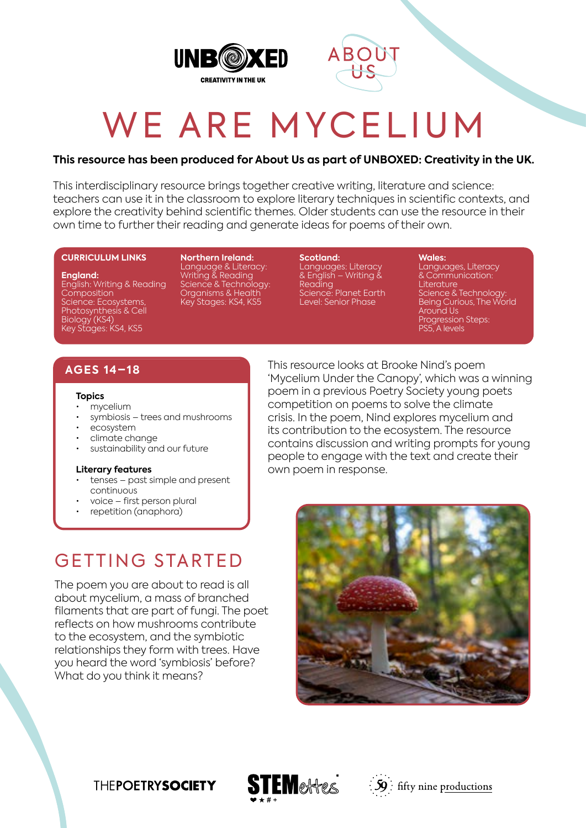



# WE ARE MYCELIUM

#### **This resource has been produced for About Us as part of UNBOXED: Creativity in the UK.**

This interdisciplinary resource brings together creative writing, literature and science: teachers can use it in the classroom to explore literary techniques in scientific contexts, and explore the creativity behind scientific themes. Older students can use the resource in their own time to further their reading and generate ideas for poems of their own.

#### **CURRICULUM LINKS**

**England:**

English: Writing & Reading **Composition** Science: Ecosystems, Photosynthesis & Cell Biology (KS4) Key Stages: KS4, KS5

**Northern Ireland:** Language & Literacy: Writing & Reading Science & Technology: Organisms & Health Key Stages: KS4, KS5

**Scotland:** Languages: Literacy & English – Writing & Reading Science: Planet Earth Level: Senior Phase

**Wales:**

Languages, Literacy & Communication: Literature Science & Technology: Being Curious, The World Around Us Progression Steps: PS5, A levels

### **AGES 14–18**

#### **Topics**

- mycelium
- symbiosis trees and mushrooms
- ecosystem
- climate change
- sustainability and our future

#### **Literary features**

- tenses past simple and present continuous
- voice first person plural
- repetition (anaphora)

This resource looks at Brooke Nind's poem 'Mycelium Under the Canopy', which was a winning poem in a previous Poetry Society young poets competition on poems to solve the climate crisis. In the poem, Nind explores mycelium and its contribution to the ecosystem. The resource contains discussion and writing prompts for young people to engage with the text and create their own poem in response.

## GETTING STARTED

The poem you are about to read is all about mycelium, a mass of branched filaments that are part of fungi. The poet reflects on how mushrooms contribute to the ecosystem, and the symbiotic relationships they form with trees. Have you heard the word 'symbiosis' before? What do you think it means?







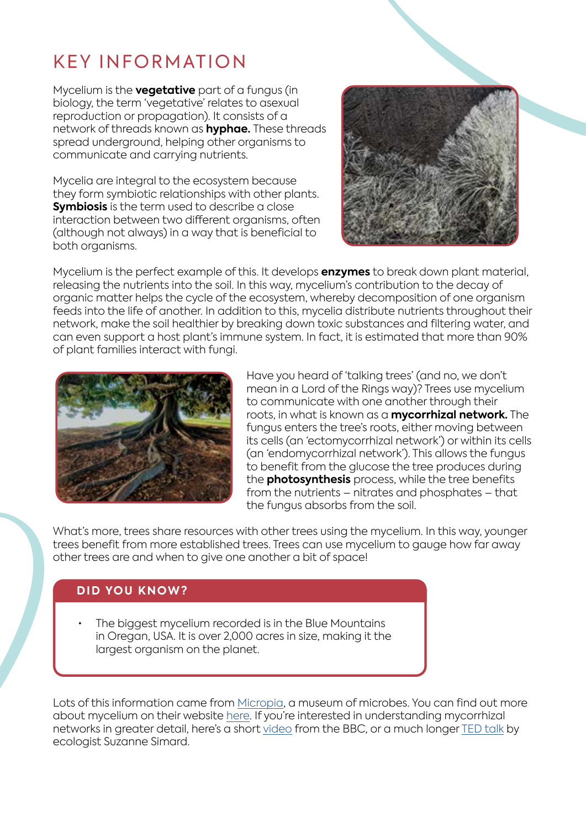# KEY INFORMATION

Mycelium is the **vegetative** part of a fungus (in biology, the term 'vegetative' relates to asexual reproduction or propagation). It consists of a network of threads known as **hyphae.** These threads spread underground, helping other organisms to communicate and carrying nutrients.

Mycelia are integral to the ecosystem because they form symbiotic relationships with other plants. **Symbiosis** is the term used to describe a close interaction between two different organisms, often (although not always) in a way that is beneficial to both organisms.



Mycelium is the perfect example of this. It develops **enzymes** to break down plant material, releasing the nutrients into the soil. In this way, mycelium's contribution to the decay of organic matter helps the cycle of the ecosystem, whereby decomposition of one organism feeds into the life of another. In addition to this, mycelia distribute nutrients throughout their network, make the soil healthier by breaking down toxic substances and filtering water, and can even support a host plant's immune system. In fact, it is estimated that more than 90% of plant families interact with fungi.



Have you heard of 'talking trees' (and no, we don't mean in a Lord of the Rings way)? Trees use mycelium to communicate with one another through their roots, in what is known as a **mycorrhizal network.** The fungus enters the tree's roots, either moving between its cells (an 'ectomycorrhizal network') or within its cells (an 'endomycorrhizal network'). This allows the fungus to benefit from the glucose the tree produces during the **photosynthesis** process, while the tree benefits from the nutrients – nitrates and phosphates – that the fungus absorbs from the soil.

What's more, trees share resources with other trees using the mycelium. In this way, younger trees benefit from more established trees. Trees can use mycelium to gauge how far away other trees are and when to give one another a bit of space!

## **DID YOU KNOW?**

The biggest mycelium recorded is in the Blue Mountains in Oregan, USA. It is over 2,000 acres in size, making it the largest organism on the planet.

Lots of this information came from [Micropia](https://www.micropia.nl/en/), a museum of microbes. You can find out more about mycelium on their website [here](https://www.micropia.nl/en/discover/microbiology/mycelium/). If you're interested in understanding mycorrhizal networks in greater detail, here's a short [video](https://www.youtube.com/watch?v=yWOqeyPIVRo&t=10s) from the BBC, or a much longer [TED talk](https://www.youtube.com/watch?v=Un2yBgIAxYs) by ecologist Suzanne Simard.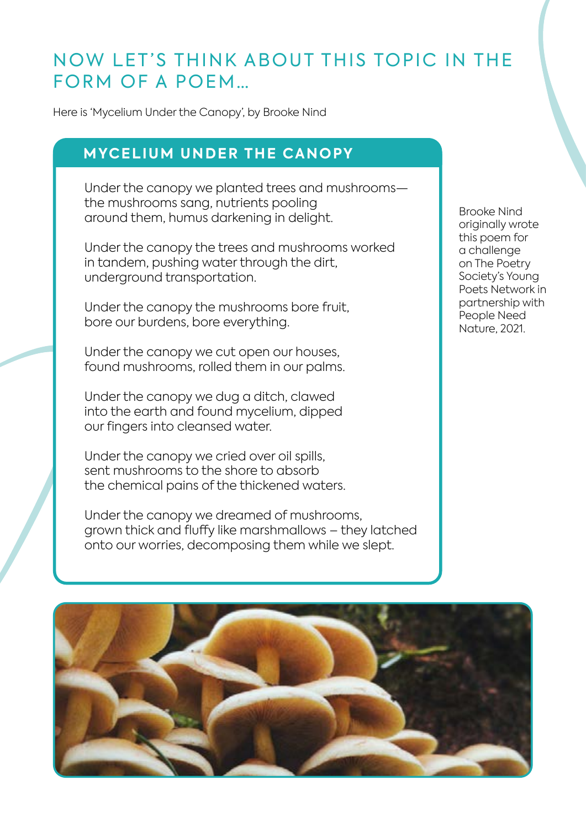## NOW LET'S THINK ABOUT THIS TOPIC IN THE FORM OF A POEM…

Here is 'Mycelium Under the Canopy', by Brooke Nind

## **MYCELIUM UNDER THE CANOPY**

Under the canopy we planted trees and mushrooms the mushrooms sang, nutrients pooling around them, humus darkening in delight.

Under the canopy the trees and mushrooms worked in tandem, pushing water through the dirt, underground transportation.

Under the canopy the mushrooms bore fruit, bore our burdens, bore everything.

Under the canopy we cut open our houses, found mushrooms, rolled them in our palms.

Under the canopy we dug a ditch, clawed into the earth and found mycelium, dipped our fingers into cleansed water.

Under the canopy we cried over oil spills, sent mushrooms to the shore to absorb the chemical pains of the thickened waters.

Under the canopy we dreamed of mushrooms, grown thick and fluffy like marshmallows – they latched onto our worries, decomposing them while we slept.

Brooke Nind originally wrote this poem for a challenge on The Poetry Society's Young Poets Network in partnership with People Need Nature, 2021.

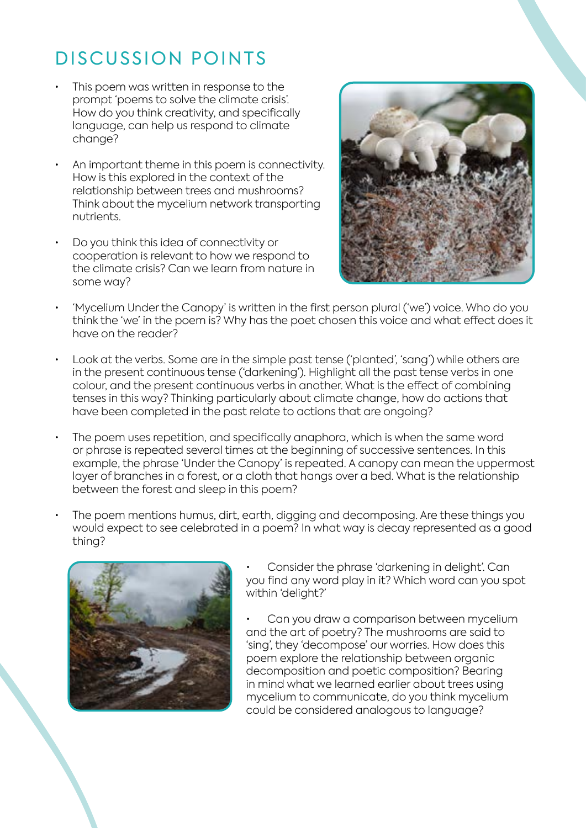# DISCUSSION POINTS

- This poem was written in response to the prompt 'poems to solve the climate crisis'. How do you think creativity, and specifically language, can help us respond to climate change?
- An important theme in this poem is connectivity. How is this explored in the context of the relationship between trees and mushrooms? Think about the mycelium network transporting nutrients.
- Do you think this idea of connectivity or cooperation is relevant to how we respond to the climate crisis? Can we learn from nature in some way?



- 'Mycelium Under the Canopy' is written in the first person plural ('we') voice. Who do you think the 'we' in the poem is? Why has the poet chosen this voice and what effect does it have on the reader?
- Look at the verbs. Some are in the simple past tense ('planted', 'sang') while others are in the present continuous tense ('darkening'). Highlight all the past tense verbs in one colour, and the present continuous verbs in another. What is the effect of combining tenses in this way? Thinking particularly about climate change, how do actions that have been completed in the past relate to actions that are ongoing?
- The poem uses repetition, and specifically anaphora, which is when the same word or phrase is repeated several times at the beginning of successive sentences. In this example, the phrase 'Under the Canopy' is repeated. A canopy can mean the uppermost layer of branches in a forest, or a cloth that hangs over a bed. What is the relationship between the forest and sleep in this poem?
- The poem mentions humus, dirt, earth, digging and decomposing. Are these things you would expect to see celebrated in a poem? In what way is decay represented as a good thing?



• Consider the phrase 'darkening in delight'. Can you find any word play in it? Which word can you spot within 'delight?'

Can you draw a comparison between mycelium and the art of poetry? The mushrooms are said to 'sing', they 'decompose' our worries. How does this poem explore the relationship between organic decomposition and poetic composition? Bearing in mind what we learned earlier about trees using mycelium to communicate, do you think mycelium could be considered analogous to language?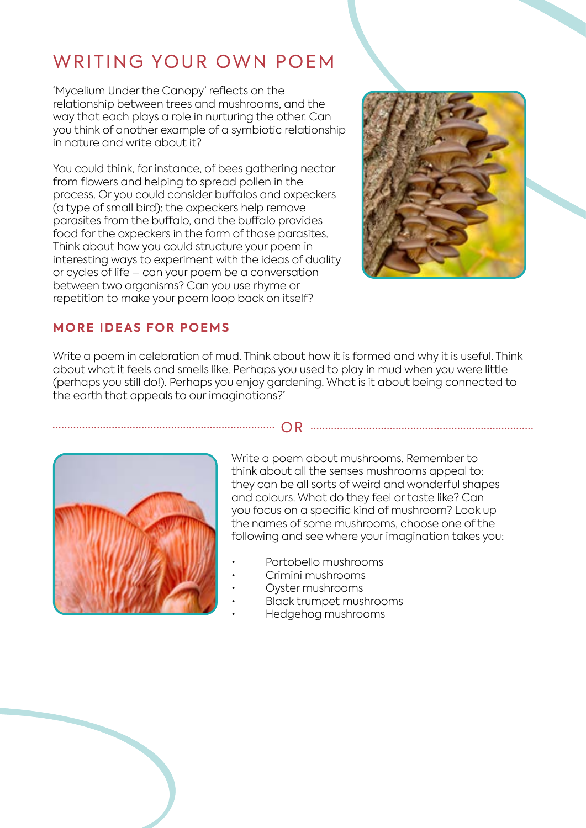# WRITING YOUR OWN POEM

'Mycelium Under the Canopy' reflects on the relationship between trees and mushrooms, and the way that each plays a role in nurturing the other. Can you think of another example of a symbiotic relationship in nature and write about it?

You could think, for instance, of bees gathering nectar from flowers and helping to spread pollen in the process. Or you could consider buffalos and oxpeckers (a type of small bird): the oxpeckers help remove parasites from the buffalo, and the buffalo provides food for the oxpeckers in the form of those parasites. Think about how you could structure your poem in interesting ways to experiment with the ideas of duality or cycles of life – can your poem be a conversation between two organisms? Can you use rhyme or repetition to make your poem loop back on itself?



## **MORE IDEAS FOR POEMS**

Write a poem in celebration of mud. Think about how it is formed and why it is useful. Think about what it feels and smells like. Perhaps you used to play in mud when you were little (perhaps you still do!). Perhaps you enjoy gardening. What is it about being connected to the earth that appeals to our imaginations?'



Write a poem about mushrooms. Remember to think about all the senses mushrooms appeal to: they can be all sorts of weird and wonderful shapes and colours. What do they feel or taste like? Can you focus on a specific kind of mushroom? Look up the names of some mushrooms, choose one of the following and see where your imagination takes you:

OR

- Portobello mushrooms
- Crimini mushrooms
- Oyster mushrooms
	- Black trumpet mushrooms
		- Hedgehog mushrooms